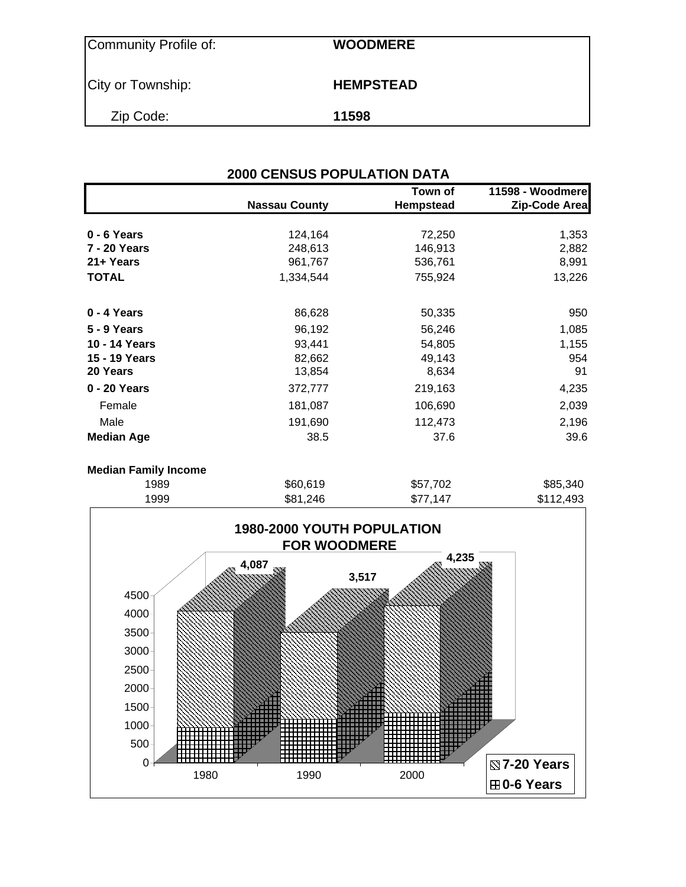| Community Profile of: | <b>WOODMERE</b>  |
|-----------------------|------------------|
| City or Township:     | <b>HEMPSTEAD</b> |
| Zip Code:             | 11598            |

|                    | <b>Nassau County</b> | Town of<br>Hempstead | 11598 - Woodmere<br>Zip-Code Area |
|--------------------|----------------------|----------------------|-----------------------------------|
|                    |                      |                      |                                   |
| $0 - 6$ Years      | 124,164              | 72,250               | 1,353                             |
| 7 - 20 Years       | 248,613              | 146,913              | 2,882                             |
| 21+ Years          | 961,767              | 536,761              | 8,991                             |
| <b>TOTAL</b>       | 1,334,544            | 755,924              | 13,226                            |
| 0 - 4 Years        | 86,628               | 50,335               | 950                               |
| <b>5 - 9 Years</b> | 96,192               | 56,246               | 1,085                             |
| 10 - 14 Years      | 93,441               | 54,805               | 1,155                             |
| 15 - 19 Years      | 82,662               | 49,143               | 954                               |
| 20 Years           | 13,854               | 8,634                | 91                                |
| 0 - 20 Years       | 372,777              | 219,163              | 4,235                             |
| Female             | 181,087              | 106,690              | 2,039                             |
| Male               | 191,690              | 112,473              | 2,196                             |
| <b>Median Age</b>  | 38.5                 | 37.6                 | 39.6                              |

| 1989 | \$60,619 | \$57,702 | \$85,340  |
|------|----------|----------|-----------|
| 1999 | \$81,246 | \$77,147 | \$112,493 |

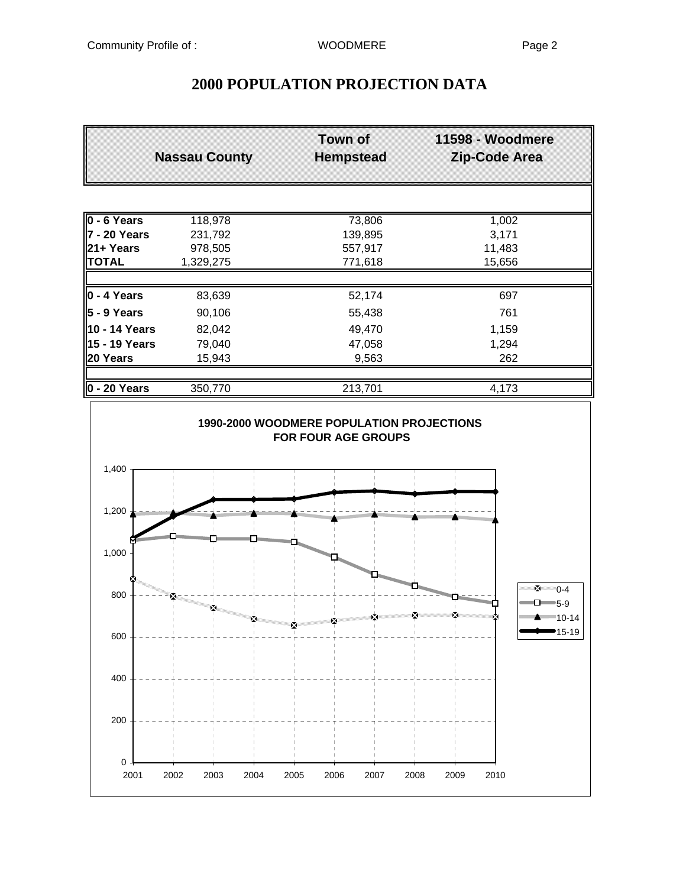## **2000 POPULATION PROJECTION DATA**

|                      | <b>Nassau County</b> | <b>Town of</b><br><b>Hempstead</b> | 11598 - Woodmere<br><b>Zip-Code Area</b> |
|----------------------|----------------------|------------------------------------|------------------------------------------|
|                      |                      |                                    |                                          |
| $0 - 6$ Years        | 118,978              | 73,806                             | 1,002                                    |
| l7 - 20 Years        | 231,792              | 139,895                            | 3,171                                    |
| l21+ Years           | 978,505              | 557,917                            | 11,483                                   |
| <b>TOTAL</b>         | 1,329,275            | 771,618                            | 15,656                                   |
|                      |                      |                                    |                                          |
| $0 - 4$ Years        | 83,639               | 52,174                             | 697                                      |
| 5 - 9 Years          | 90,106               | 55,438                             | 761                                      |
| 10 - 14 Years        | 82,042               | 49,470                             | 1,159                                    |
| 15 - 19 Years        | 79,040               | 47,058                             | 1,294                                    |
| 20 Years             | 15,943               | 9,563                              | 262                                      |
|                      |                      |                                    |                                          |
| $\vert$ 0 - 20 Years | 350,770              | 213,701                            | 4,173                                    |

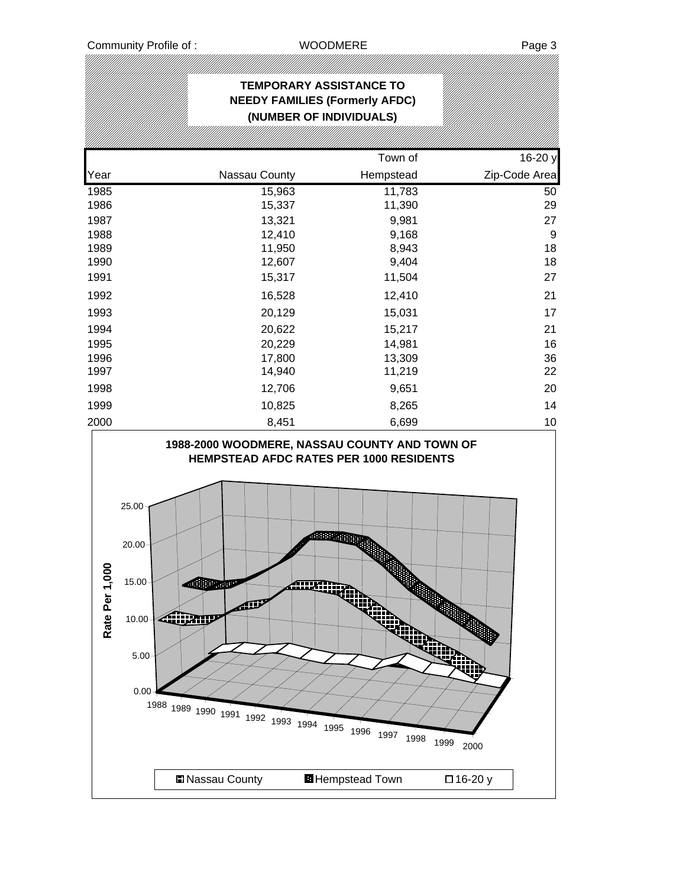## **TEMPORARY ASSISTANCE TO NEEDY FAMILIES (Formerly AFDC) (NUMBER OF INDIVIDUALS)** Town of 16-20 y Year **Nassau County** Hempstead **Zip-Code Area** 1985 15,963 11,783 50 1986 15,337 11,390 29 1987 13,321 9,981 27 1988 12,410 9,168 9 1989 11,950 8,943 18 1990 12,607 9,404 18 1991 15,317 11,504 27 1992 16,528 12,410 21 1993 20,129 15,031 17 1994 20,622 15,217 21 1995 20,229 14,981 16 1996 17,800 13,309 36 1997 14,940 11,219 22 1998 12,706 9,651 20 1999 10,825 8,265 14 2000 8,451 6,699 10 **1988-2000 WOODMERE, NASSAU COUNTY AND TOWN OF HEMPSTEAD AFDC RATES PER 1000 RESIDENTS** 25.00 20.00 Rate Per 1,000 **Rate Per 1,000**and the second second second second second second second second second second second second second second second second second second second second second second second second second second second second second second seco 15.00 688 m **Allinging** 10.00 5.00 0.00 <sup>1988</sup> <sup>1989</sup> <sup>1990</sup> <sup>1991</sup> <sup>1992</sup> <sup>1993</sup> <sup>1994</sup> <sup>1995</sup> <sup>1996</sup> <sup>1997</sup> <sup>1998</sup> <sup>1999</sup> <sup>2000</sup> ■Nassau County BHempstead Town □ 16-20 y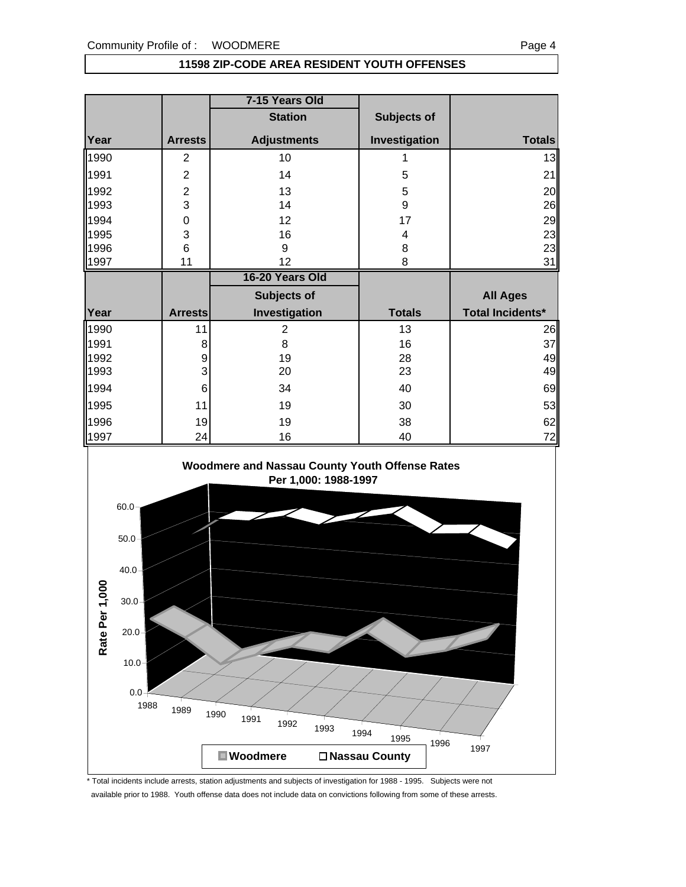### **11598 ZIP-CODE AREA RESIDENT YOUTH OFFENSES**

|      |                | 7-15 Years Old     |                    |                         |
|------|----------------|--------------------|--------------------|-------------------------|
|      |                | <b>Station</b>     | <b>Subjects of</b> |                         |
| Year | <b>Arrests</b> | <b>Adjustments</b> | Investigation      | <b>Totals</b>           |
| 1990 | $\overline{2}$ | 10                 |                    | 13                      |
| 1991 | $\overline{2}$ | 14                 | 5                  | 21                      |
| 1992 | $\overline{2}$ | 13                 | 5                  | 20                      |
| 1993 | 3              | 14                 | $\boldsymbol{9}$   | 26                      |
| 1994 | $\mathbf 0$    | 12                 | 17                 | 29                      |
| 1995 | 3              | 16                 | 4                  | 23                      |
| 1996 | 6              | 9                  | 8                  | 23                      |
| 1997 | 11             | 12                 | 8                  | 31                      |
|      |                | 16-20 Years Old    |                    |                         |
|      |                | Subjects of        |                    | <b>All Ages</b>         |
| Year | <b>Arrests</b> | Investigation      | <b>Totals</b>      | <b>Total Incidents*</b> |
| 1990 |                |                    |                    |                         |
|      | 11             | 2                  | 13                 |                         |
| 1991 | 8              | 8                  | 16                 | 26<br>37                |
| 1992 | 9              | 19                 | 28                 |                         |
| 1993 | 3              | 20                 | 23                 |                         |
| 1994 | 6              | 34                 | 40                 |                         |
| 1995 | 11             | 19                 | 30                 | 49<br>49<br>69<br>53    |
| 1996 | 19             | 19                 | 38                 | 62                      |



\* Total incidents include arrests, station adjustments and subjects of investigation for 1988 - 1995. Subjects were not available prior to 1988. Youth offense data does not include data on convictions following from some of these arrests.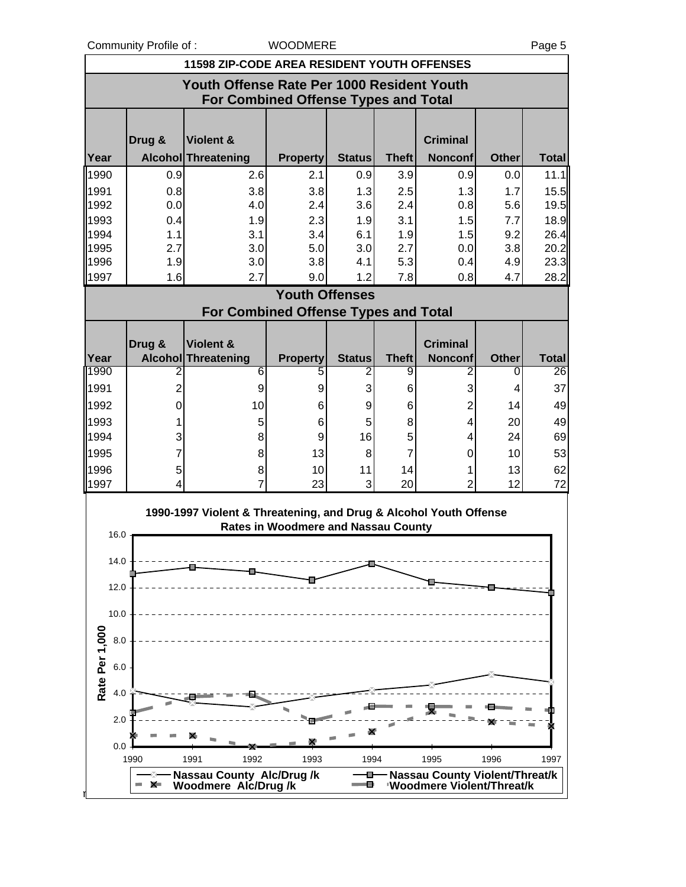Community Profile of : WOODMERE Page 5

l,

| <b>11598 ZIP-CODE AREA RESIDENT YOUTH OFFENSES</b> |                                                                                           |                                                                   |                                            |               |              |                                                              |              |              |  |  |
|----------------------------------------------------|-------------------------------------------------------------------------------------------|-------------------------------------------------------------------|--------------------------------------------|---------------|--------------|--------------------------------------------------------------|--------------|--------------|--|--|
|                                                    | Youth Offense Rate Per 1000 Resident Youth<br><b>For Combined Offense Types and Total</b> |                                                                   |                                            |               |              |                                                              |              |              |  |  |
|                                                    | Drug &                                                                                    | Violent &                                                         |                                            |               |              | <b>Criminal</b>                                              |              |              |  |  |
| Year                                               |                                                                                           | <b>Alcohol Threatening</b>                                        | <b>Property</b>                            | <b>Status</b> | <b>Theft</b> | <b>Nonconf</b>                                               | <b>Other</b> | <b>Total</b> |  |  |
| 1990                                               | 0.9                                                                                       | 2.6                                                               | 2.1                                        | 0.9           | 3.9          | 0.9                                                          | 0.0          | 11.1         |  |  |
| 1991                                               | 0.8                                                                                       | 3.8                                                               | 3.8                                        | 1.3           | 2.5          | 1.3                                                          | 1.7          | 15.5         |  |  |
| 1992                                               | 0.0                                                                                       | 4.0                                                               | 2.4                                        | 3.6           | 2.4          | 0.8                                                          | 5.6          | 19.5         |  |  |
| 1993                                               | 0.4                                                                                       | 1.9                                                               | 2.3                                        | 1.9           | 3.1          | 1.5                                                          | 7.7          | 18.9         |  |  |
| 1994                                               | 1.1                                                                                       | 3.1                                                               | 3.4                                        | 6.1           | 1.9          | 1.5                                                          | 9.2          | 26.4         |  |  |
| 1995                                               | 2.7                                                                                       | 3.0                                                               | 5.0                                        | 3.0           | 2.7          | 0.0                                                          | 3.8          | 20.2         |  |  |
| 1996                                               | 1.9                                                                                       | 3.0                                                               | 3.8                                        | 4.1           | 5.3          | 0.4                                                          | 4.9          | 23.3         |  |  |
| 1997                                               | 1.6                                                                                       | 2.7                                                               | 9.0                                        | 1.2           | 7.8          | 0.8                                                          | 4.7          | 28.2         |  |  |
|                                                    |                                                                                           |                                                                   | <b>Youth Offenses</b>                      |               |              |                                                              |              |              |  |  |
|                                                    |                                                                                           | For Combined Offense Types and Total                              |                                            |               |              |                                                              |              |              |  |  |
|                                                    | Drug &                                                                                    | Violent &                                                         |                                            |               |              | <b>Criminal</b>                                              |              |              |  |  |
| Year                                               |                                                                                           | <b>Alcohol Threatening</b>                                        | <b>Property</b>                            | <b>Status</b> | <b>Theft</b> | <b>Nonconf</b>                                               | <b>Other</b> | <b>Total</b> |  |  |
| 1990                                               | 2                                                                                         | 6                                                                 | 5                                          | 2             | 9            | 2                                                            | 0            | 26           |  |  |
| 1991                                               | $\overline{c}$                                                                            | 9                                                                 | 9                                          | 3             | 6            | 3                                                            | 4            | 37           |  |  |
| 1992                                               | 0                                                                                         | 10                                                                | 6                                          | 9             | 6            | $\overline{2}$                                               | 14           | 49           |  |  |
|                                                    |                                                                                           |                                                                   |                                            |               |              |                                                              |              |              |  |  |
| 1993                                               | 1                                                                                         | 5                                                                 | 6                                          | 5             | 8            | 4                                                            | 20           | 49           |  |  |
| 1994                                               | 3                                                                                         | 8                                                                 | 9                                          | 16            | 5            | 4                                                            | 24           | 69           |  |  |
| 1995                                               | 7                                                                                         | 8                                                                 | 13                                         | 8             | 7            | 0                                                            | 10           | 53           |  |  |
| 1996                                               | 5                                                                                         | 8                                                                 | 10                                         | 11            | 14           | 1                                                            | 13           | 62           |  |  |
| 1997                                               | 4                                                                                         | $\overline{7}$                                                    | 23                                         | 3             | 20           | $\overline{2}$                                               | 12           | 72           |  |  |
|                                                    |                                                                                           | 1990-1997 Violent & Threatening, and Drug & Alcohol Youth Offense |                                            |               |              |                                                              |              |              |  |  |
| 16.0                                               |                                                                                           |                                                                   | <b>Rates in Woodmere and Nassau County</b> |               |              |                                                              |              |              |  |  |
| 14.0                                               |                                                                                           |                                                                   |                                            |               |              |                                                              |              |              |  |  |
|                                                    |                                                                                           |                                                                   |                                            |               |              |                                                              |              |              |  |  |
| 12.0                                               |                                                                                           |                                                                   |                                            |               |              |                                                              |              |              |  |  |
| 10.0                                               |                                                                                           |                                                                   |                                            |               |              |                                                              |              |              |  |  |
| $8.0\,$                                            |                                                                                           |                                                                   |                                            |               |              |                                                              |              |              |  |  |
|                                                    |                                                                                           |                                                                   |                                            |               |              |                                                              |              |              |  |  |
| Rate Per 1,000<br>$6.0\,$                          |                                                                                           |                                                                   |                                            |               |              |                                                              |              |              |  |  |
| 4.0                                                |                                                                                           |                                                                   |                                            |               |              |                                                              |              |              |  |  |
| 2.0                                                |                                                                                           |                                                                   |                                            |               |              |                                                              |              |              |  |  |
| 0.0                                                |                                                                                           |                                                                   |                                            |               |              |                                                              |              |              |  |  |
|                                                    | 1990                                                                                      | 1992<br>1991                                                      | 1993                                       | 1994          |              | 1995                                                         | 1996         | 1997         |  |  |
|                                                    |                                                                                           |                                                                   |                                            | o             |              |                                                              |              |              |  |  |
|                                                    | <b>X</b><br>o a                                                                           | Nassau County Alc/Drug /k<br>Woodmere Alc/Drug /k                 |                                            | e             |              | Nassau County Violent/Threat/k<br>'Woodmere Violent/Threat/k |              |              |  |  |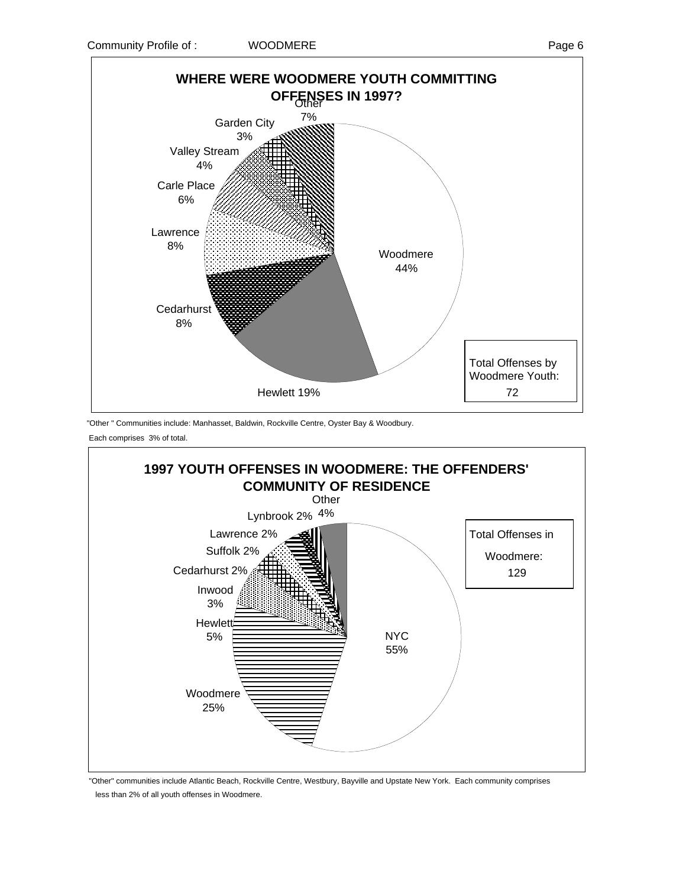



"Other " Communities include: Manhasset, Baldwin, Rockville Centre, Oyster Bay & Woodbury. Each comprises 3% of total.



 "Other" communities include Atlantic Beach, Rockville Centre, Westbury, Bayville and Upstate New York. Each community comprises less than 2% of all youth offenses in Woodmere.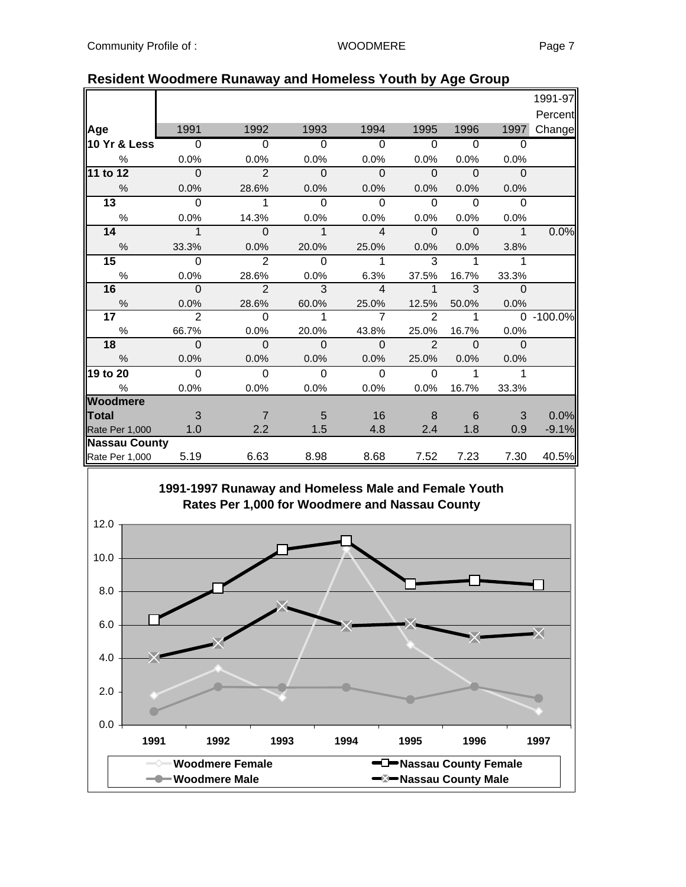|                      |                          |                |                |                |                |                |             | 1991-97       |
|----------------------|--------------------------|----------------|----------------|----------------|----------------|----------------|-------------|---------------|
|                      |                          |                |                |                |                |                |             | Percent       |
| Age                  | 1991                     | 1992           | 1993           | 1994           | 1995           | 1996           | 1997        | Change        |
| 10 Yr & Less         | $\overline{\phantom{0}}$ | $\overline{0}$ | $\Omega$       | $\overline{0}$ | $\overline{0}$ | $\overline{0}$ | $\Omega$    |               |
| $\frac{0}{0}$        | 0.0%                     | 0.0%           | 0.0%           | 0.0%           | 0.0%           | 0.0%           | 0.0%        |               |
| 11 to 12             | $\Omega$                 | $\overline{2}$ | $\Omega$       | $\Omega$       | $\Omega$       | $\Omega$       | $\Omega$    |               |
| $\%$                 | 0.0%                     | 28.6%          | 0.0%           | 0.0%           | 0.0%           | 0.0%           | 0.0%        |               |
| $\overline{13}$      | $\Omega$                 | 1              | $\Omega$       | $\Omega$       | $\Omega$       | $\Omega$       | $\Omega$    |               |
| $\%$                 | 0.0%                     | 14.3%          | 0.0%           | 0.0%           | 0.0%           | 0.0%           | 0.0%        |               |
| 14                   | $\mathbf{1}$             | $\Omega$       | $\mathbf{1}$   | $\overline{4}$ | $\Omega$       | $\Omega$       | $\mathbf 1$ | 0.0%          |
| $\frac{0}{0}$        | 33.3%                    | 0.0%           | 20.0%          | 25.0%          | 0.0%           | 0.0%           | 3.8%        |               |
| 15                   | $\Omega$                 | $\overline{2}$ | $\overline{0}$ | 1              | 3              | 1              | 1           |               |
| $\%$                 | 0.0%                     | 28.6%          | 0.0%           | 6.3%           | 37.5%          | 16.7%          | 33.3%       |               |
| 16                   | $\overline{0}$           | $\overline{2}$ | $\overline{3}$ | $\overline{4}$ | $\mathbf 1$    | $\overline{3}$ | $\Omega$    |               |
| $\frac{0}{6}$        | 0.0%                     | 28.6%          | 60.0%          | 25.0%          | 12.5%          | 50.0%          | 0.0%        |               |
| 17 <sub>1</sub>      | $\overline{2}$           | $\mathbf 0$    | 1              | $\overline{7}$ | $\overline{2}$ | 1              |             | $0 - 100.0\%$ |
| $\%$                 | 66.7%                    | 0.0%           | 20.0%          | 43.8%          | 25.0%          | 16.7%          | 0.0%        |               |
| 18                   | $\mathbf{0}$             | $\Omega$       | $\Omega$       | $\Omega$       | $\overline{2}$ | $\Omega$       | $\Omega$    |               |
| $\frac{0}{0}$        | 0.0%                     | 0.0%           | 0.0%           | 0.0%           | 25.0%          | 0.0%           | 0.0%        |               |
| 19 to 20             | $\Omega$                 | $\mathbf 0$    | $\overline{0}$ | $\Omega$       | $\Omega$       | $\mathbf{1}$   | 1           |               |
| $\%$                 | 0.0%                     | 0.0%           | 0.0%           | 0.0%           | 0.0%           | 16.7%          | 33.3%       |               |
| <b>Woodmere</b>      |                          |                |                |                |                |                |             |               |
| <b>Total</b>         | 3                        | 7              | 5              | 16             | 8              | 6              | 3           | 0.0%          |
| Rate Per 1,000       | 1.0                      | 2.2            | 1.5            | 4.8            | 2.4            | 1.8            | 0.9         | $-9.1%$       |
| <b>Nassau County</b> |                          |                |                |                |                |                |             |               |
| Rate Per 1,000       | 5.19                     | 6.63           | 8.98           | 8.68           | 7.52           | 7.23           | 7.30        | 40.5%         |

### **Resident Woodmere Runaway and Homeless Youth by Age Group**

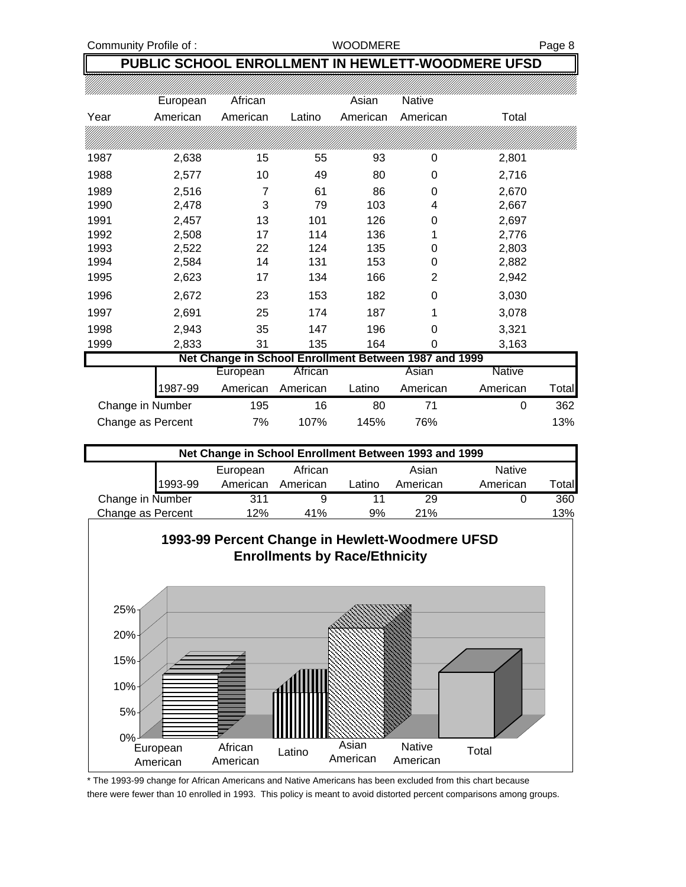Community Profile of : WOODMERE Page 8

## **PUBLIC SCHOOL ENROLLMENT IN HEWLETT-WOODMERE UFSD**

|      | European          | African                                               |          | Asian    | <b>Native</b> |               |       |
|------|-------------------|-------------------------------------------------------|----------|----------|---------------|---------------|-------|
| Year | American          | American                                              | Latino   | American | American      | Total         |       |
|      |                   |                                                       |          |          |               |               |       |
| 1987 | 2,638             | 15                                                    | 55       | 93       | 0             | 2,801         |       |
| 1988 | 2,577             | 10                                                    | 49       | 80       | 0             | 2,716         |       |
| 1989 | 2,516             | 7                                                     | 61       | 86       | 0             | 2,670         |       |
| 1990 | 2,478             | 3                                                     | 79       | 103      | 4             | 2,667         |       |
| 1991 | 2,457             | 13                                                    | 101      | 126      | 0             | 2,697         |       |
| 1992 | 2,508             | 17                                                    | 114      | 136      |               | 2,776         |       |
| 1993 | 2,522             | 22                                                    | 124      | 135      | 0             | 2,803         |       |
| 1994 | 2,584             | 14                                                    | 131      | 153      | 0             | 2,882         |       |
| 1995 | 2,623             | 17                                                    | 134      | 166      | 2             | 2,942         |       |
| 1996 | 2,672             | 23                                                    | 153      | 182      | 0             | 3,030         |       |
| 1997 | 2,691             | 25                                                    | 174      | 187      | 1             | 3,078         |       |
| 1998 | 2,943             | 35                                                    | 147      | 196      | 0             | 3,321         |       |
| 1999 | 2,833             | 31                                                    | 135      | 164      | 0             | 3,163         |       |
|      |                   | Net Change in School Enrollment Between 1987 and 1999 |          |          |               |               |       |
|      |                   | European                                              | African  |          | Asian         | <b>Native</b> |       |
|      | 1987-99           | American                                              | American | Latino   | American      | American      | Total |
|      | Change in Number  | 195                                                   | 16       | 80       | 71            | $\mathbf 0$   | 362   |
|      | Change as Percent | 7%                                                    | 107%     | 145%     | 76%           |               | 13%   |

| Net Change in School Enrollment Between 1993 and 1999 |          |          |        |          |               |        |  |  |  |
|-------------------------------------------------------|----------|----------|--------|----------|---------------|--------|--|--|--|
|                                                       | European | African  |        | Asian    | <b>Native</b> |        |  |  |  |
| 1993-99                                               | American | American | Latino | American | American      | Γotall |  |  |  |
| Change in Number                                      | 311      |          |        | 29       |               | 360    |  |  |  |
| Change as Percent                                     | 12%      | 41%      | 9%     | 21%      |               | 13%    |  |  |  |



\* The 1993-99 change for African Americans and Native Americans has been excluded from this chart because there were fewer than 10 enrolled in 1993. This policy is meant to avoid distorted percent comparisons among groups.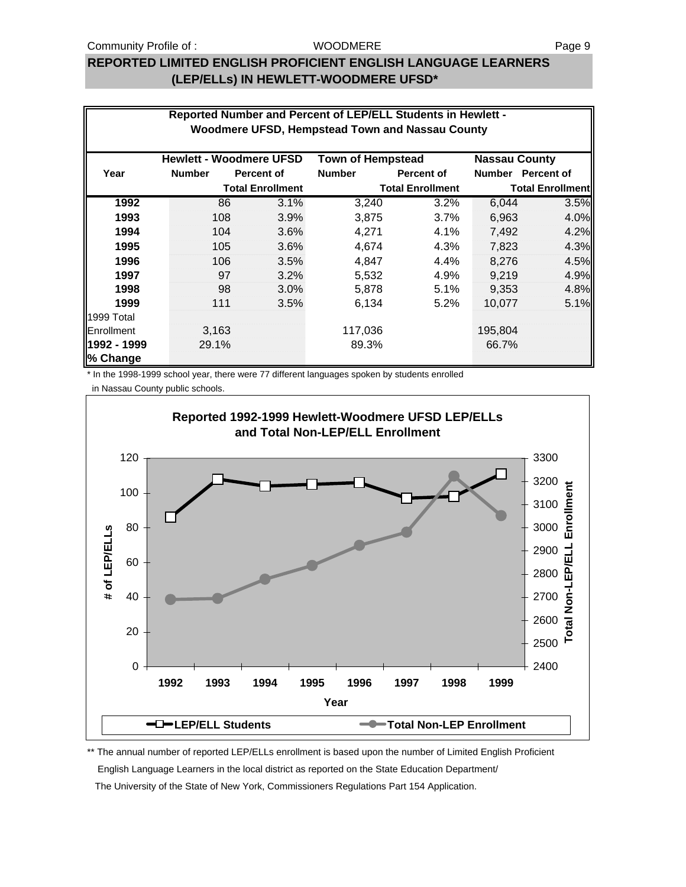### **REPORTED LIMITED ENGLISH PROFICIENT ENGLISH LANGUAGE LEARNERS (LEP/ELLs) IN HEWLETT-WOODMERE UFSD\***

|                         | Reported Number and Percent of LEP/ELL Students in Hewlett -<br>Woodmere UFSD, Hempstead Town and Nassau County |                                |                          |                         |                      |                         |  |  |  |  |
|-------------------------|-----------------------------------------------------------------------------------------------------------------|--------------------------------|--------------------------|-------------------------|----------------------|-------------------------|--|--|--|--|
|                         |                                                                                                                 | <b>Hewlett - Woodmere UFSD</b> | <b>Town of Hempstead</b> |                         | <b>Nassau County</b> |                         |  |  |  |  |
| Year                    | <b>Number</b>                                                                                                   | Percent of                     | <b>Number</b>            | Percent of              |                      | Number Percent of       |  |  |  |  |
|                         |                                                                                                                 | <b>Total Enrollment</b>        |                          | <b>Total Enrollment</b> |                      | <b>Total Enrollment</b> |  |  |  |  |
| 1992                    | 86                                                                                                              | 3.1%                           | 3,240                    | 3.2%                    | 6,044                | 3.5%                    |  |  |  |  |
| 1993                    | 108                                                                                                             | 3.9%                           | 3,875                    | 3.7%                    | 6,963                | 4.0%                    |  |  |  |  |
| 1994                    | 104                                                                                                             | 3.6%                           | 4,271                    | 4.1%                    | 7,492                | 4.2%                    |  |  |  |  |
| 1995                    | 105                                                                                                             | 3.6%                           | 4,674                    | 4.3%                    | 7,823                | 4.3%                    |  |  |  |  |
| 1996                    | 106                                                                                                             | 3.5%                           | 4,847                    | $4.4\%$                 | 8.276                | 4.5%                    |  |  |  |  |
| 1997                    | 97                                                                                                              | 3.2%                           | 5,532                    | 4.9%                    | 9,219                | 4.9%                    |  |  |  |  |
| 1998                    | 98                                                                                                              | 3.0%                           | 5,878                    | 5.1%                    | 9,353                | 4.8%                    |  |  |  |  |
| 1999                    | 111                                                                                                             | 3.5%                           | 6,134                    | $5.2\%$                 | 10.077               | 5.1%                    |  |  |  |  |
| 1999 Total              |                                                                                                                 |                                |                          |                         |                      |                         |  |  |  |  |
| Enrollment              | 3,163                                                                                                           |                                | 117,036                  |                         | 195,804              |                         |  |  |  |  |
| 1992 - 1999<br>% Change | 29.1%                                                                                                           |                                | 89.3%                    |                         | 66.7%                |                         |  |  |  |  |

\* In the 1998-1999 school year, there were 77 different languages spoken by students enrolled

in Nassau County public schools.



\*\* The annual number of reported LEP/ELLs enrollment is based upon the number of Limited English Proficient English Language Learners in the local district as reported on the State Education Department/ The University of the State of New York, Commissioners Regulations Part 154 Application.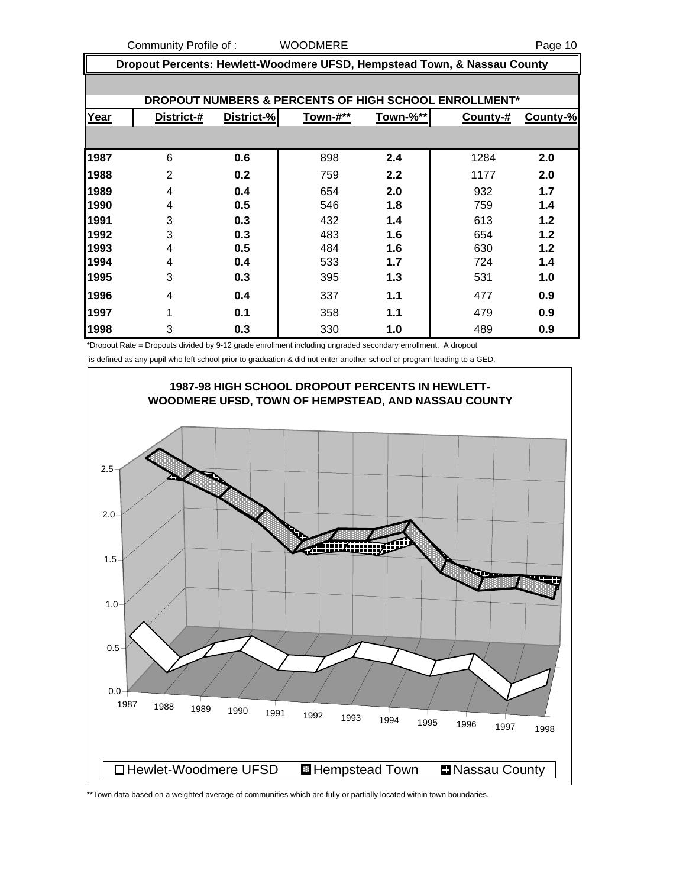Community Profile of : WOODMERE Page 10

|      | Dropout Percents: Hewlett-Woodmere UFSD, Hempstead Town, & Nassau County |            |          |          |          |          |  |  |  |  |  |
|------|--------------------------------------------------------------------------|------------|----------|----------|----------|----------|--|--|--|--|--|
|      | DROPOUT NUMBERS & PERCENTS OF HIGH SCHOOL ENROLLMENT*                    |            |          |          |          |          |  |  |  |  |  |
| Year | District-#                                                               | District-% | Town-#** | Town-%** | County-# | County-% |  |  |  |  |  |
|      |                                                                          |            |          |          |          |          |  |  |  |  |  |
| 1987 | 6                                                                        | 0.6        | 898      | 2.4      | 1284     | 2.0      |  |  |  |  |  |
| 1988 | $\overline{2}$                                                           | 0.2        | 759      | 2.2      | 1177     | 2.0      |  |  |  |  |  |
| 1989 | 4                                                                        | 0.4        | 654      | 2.0      | 932      | 1.7      |  |  |  |  |  |
| 1990 | 4                                                                        | 0.5        | 546      | 1.8      | 759      | 1.4      |  |  |  |  |  |
| 1991 | 3                                                                        | 0.3        | 432      | 1.4      | 613      | 1.2      |  |  |  |  |  |
| 1992 | 3                                                                        | 0.3        | 483      | 1.6      | 654      | 1.2      |  |  |  |  |  |
| 1993 | 4                                                                        | 0.5        | 484      | 1.6      | 630      | 1.2      |  |  |  |  |  |
| 1994 | 4                                                                        | 0.4        | 533      | 1.7      | 724      | 1.4      |  |  |  |  |  |
| 1995 | 3                                                                        | 0.3        | 395      | 1.3      | 531      | 1.0      |  |  |  |  |  |
| 1996 | 4                                                                        | 0.4        | 337      | 1.1      | 477      | 0.9      |  |  |  |  |  |
| 1997 | 1                                                                        | 0.1        | 358      | 1.1      | 479      | 0.9      |  |  |  |  |  |
| 1998 | 3                                                                        | 0.3        | 330      | 1.0      | 489      | 0.9      |  |  |  |  |  |

\*Dropout Rate = Dropouts divided by 9-12 grade enrollment including ungraded secondary enrollment. A dropout

is defined as any pupil who left school prior to graduation & did not enter another school or program leading to a GED.



\*\*Town data based on a weighted average of communities which are fully or partially located within town boundaries.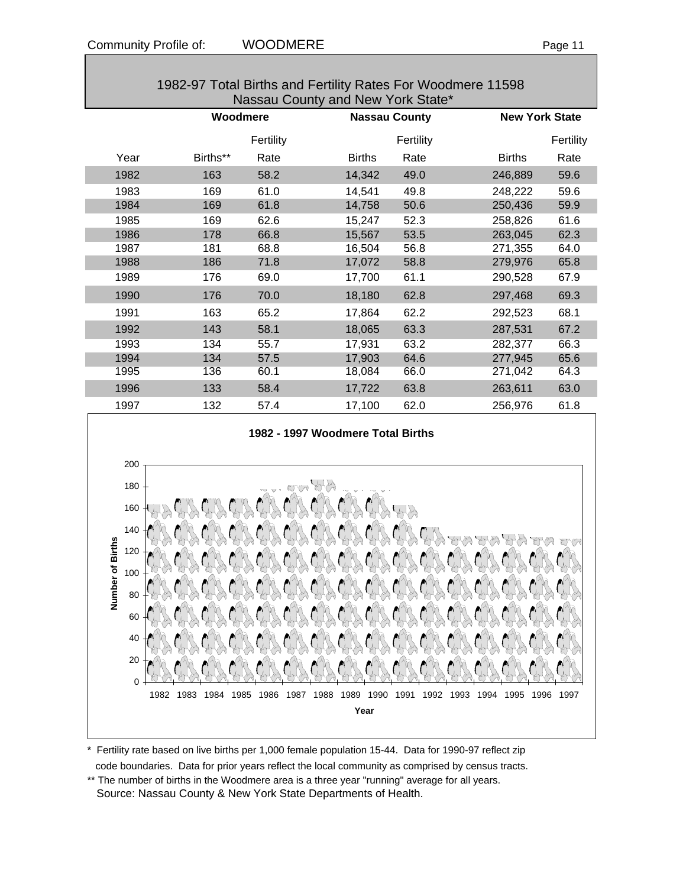| Nassau County and New York State* |          |           |                      |           |                       |           |  |  |
|-----------------------------------|----------|-----------|----------------------|-----------|-----------------------|-----------|--|--|
|                                   | Woodmere |           | <b>Nassau County</b> |           | <b>New York State</b> |           |  |  |
|                                   |          | Fertility |                      | Fertility |                       | Fertility |  |  |
| Year                              | Births** | Rate      | <b>Births</b>        | Rate      | <b>Births</b>         | Rate      |  |  |
| 1982                              | 163      | 58.2      | 14,342               | 49.0      | 246,889               | 59.6      |  |  |
| 1983                              | 169      | 61.0      | 14,541               | 49.8      | 248,222               | 59.6      |  |  |
| 1984                              | 169      | 61.8      | 14,758               | 50.6      | 250,436               | 59.9      |  |  |
| 1985                              | 169      | 62.6      | 15,247               | 52.3      | 258,826               | 61.6      |  |  |
| 1986                              | 178      | 66.8      | 15,567               | 53.5      | 263,045               | 62.3      |  |  |
| 1987                              | 181      | 68.8      | 16,504               | 56.8      | 271,355               | 64.0      |  |  |
| 1988                              | 186      | 71.8      | 17,072               | 58.8      | 279,976               | 65.8      |  |  |
| 1989                              | 176      | 69.0      | 17,700               | 61.1      | 290,528               | 67.9      |  |  |
| 1990                              | 176      | 70.0      | 18,180               | 62.8      | 297,468               | 69.3      |  |  |
| 1991                              | 163      | 65.2      | 17,864               | 62.2      | 292,523               | 68.1      |  |  |
| 1992                              | 143      | 58.1      | 18,065               | 63.3      | 287,531               | 67.2      |  |  |
| 1993                              | 134      | 55.7      | 17,931               | 63.2      | 282,377               | 66.3      |  |  |
| 1994                              | 134      | 57.5      | 17,903               | 64.6      | 277,945               | 65.6      |  |  |
| 1995                              | 136      | 60.1      | 18,084               | 66.0      | 271,042               | 64.3      |  |  |
| 1996                              | 133      | 58.4      | 17,722               | 63.8      | 263,611               | 63.0      |  |  |
| 1997                              | 132      | 57.4      | 17,100               | 62.0      | 256,976               | 61.8      |  |  |





\* Fertility rate based on live births per 1,000 female population 15-44. Data for 1990-97 reflect zip code boundaries. Data for prior years reflect the local community as comprised by census tracts.

\*\* The number of births in the Woodmere area is a three year "running" average for all years. Source: Nassau County & New York State Departments of Health.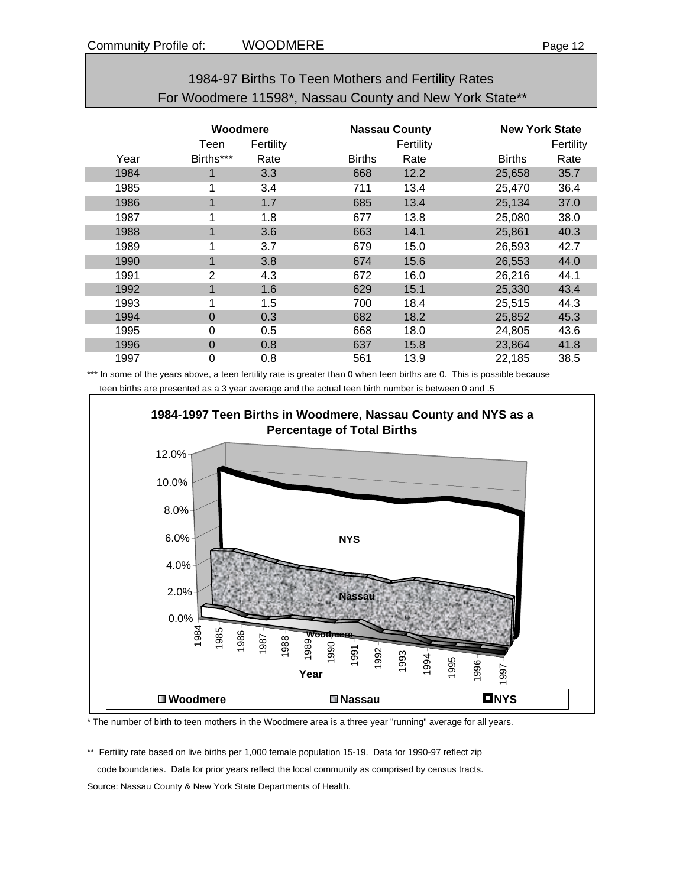| 1984-97 Births To Teen Mothers and Fertility Rates      |
|---------------------------------------------------------|
| For Woodmere 11598*, Nassau County and New York State** |

|      | Woodmere<br>Fertility<br>Teen |      |               | <b>Nassau County</b><br>Fertility |               | <b>New York State</b><br>Fertility |  |
|------|-------------------------------|------|---------------|-----------------------------------|---------------|------------------------------------|--|
| Year | Births***                     | Rate | <b>Births</b> | Rate                              | <b>Births</b> | Rate                               |  |
| 1984 | 1                             | 3.3  | 668           | 12.2                              | 25,658        | 35.7                               |  |
| 1985 | 1                             | 3.4  | 711           | 13.4                              | 25,470        | 36.4                               |  |
| 1986 | $\mathbf{1}$                  | 1.7  | 685           | 13.4                              | 25,134        | 37.0                               |  |
| 1987 | 1                             | 1.8  | 677           | 13.8                              | 25,080        | 38.0                               |  |
| 1988 | $\blacktriangleleft$          | 3.6  | 663           | 14.1                              | 25,861        | 40.3                               |  |
| 1989 | 1                             | 3.7  | 679           | 15.0                              | 26,593        | 42.7                               |  |
| 1990 | 1                             | 3.8  | 674           | 15.6                              | 26,553        | 44.0                               |  |
| 1991 | 2                             | 4.3  | 672           | 16.0                              | 26,216        | 44.1                               |  |
| 1992 | $\mathbf{1}$                  | 1.6  | 629           | 15.1                              | 25,330        | 43.4                               |  |
| 1993 | 1                             | 1.5  | 700           | 18.4                              | 25,515        | 44.3                               |  |
| 1994 | $\Omega$                      | 0.3  | 682           | 18.2                              | 25,852        | 45.3                               |  |
| 1995 | 0                             | 0.5  | 668           | 18.0                              | 24,805        | 43.6                               |  |
| 1996 | $\Omega$                      | 0.8  | 637           | 15.8                              | 23,864        | 41.8                               |  |
| 1997 | 0                             | 0.8  | 561           | 13.9                              | 22,185        | 38.5                               |  |

\*\*\* In some of the years above, a teen fertility rate is greater than 0 when teen births are 0. This is possible because teen births are presented as a 3 year average and the actual teen birth number is between 0 and .5



\* The number of birth to teen mothers in the Woodmere area is a three year "running" average for all years.

\*\* Fertility rate based on live births per 1,000 female population 15-19. Data for 1990-97 reflect zip code boundaries. Data for prior years reflect the local community as comprised by census tracts.